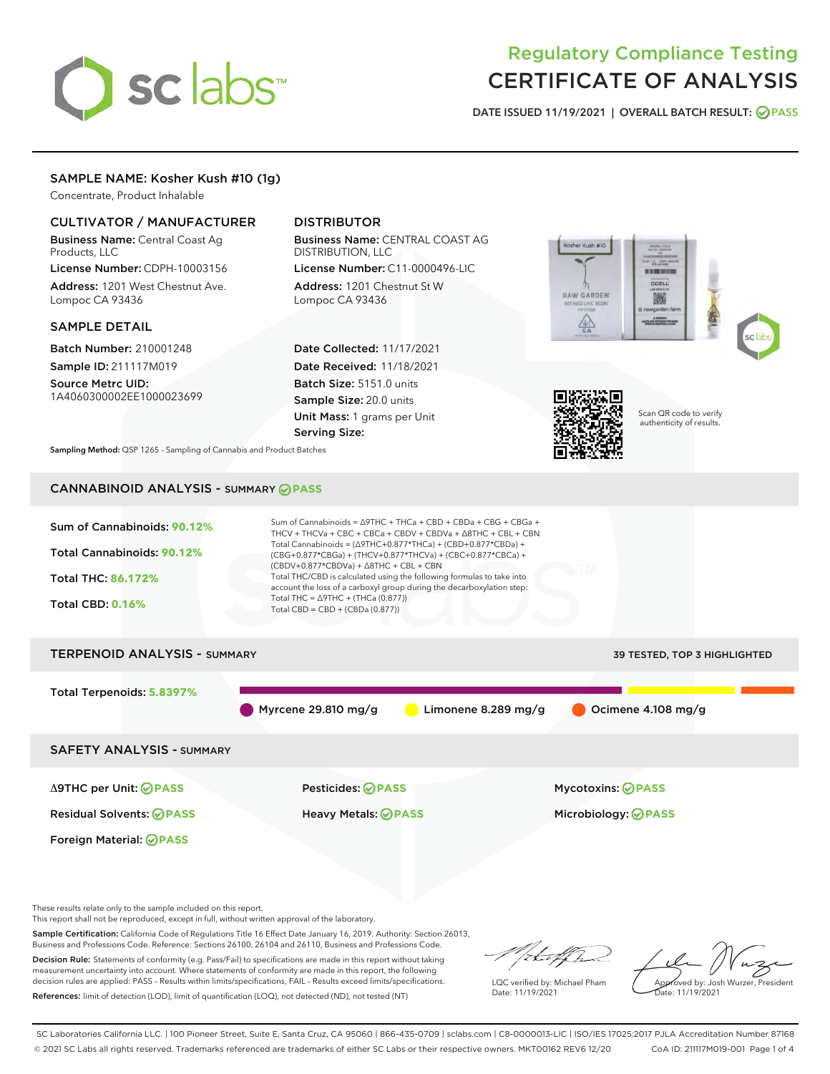# sclabs<sup>\*</sup>

## Regulatory Compliance Testing CERTIFICATE OF ANALYSIS

DATE ISSUED 11/19/2021 | OVERALL BATCH RESULT: @ PASS

#### SAMPLE NAME: Kosher Kush #10 (1g)

Concentrate, Product Inhalable

#### CULTIVATOR / MANUFACTURER

Business Name: Central Coast Ag Products, LLC

License Number: CDPH-10003156 Address: 1201 West Chestnut Ave. Lompoc CA 93436

#### SAMPLE DETAIL

Batch Number: 210001248 Sample ID: 211117M019

Source Metrc UID: 1A4060300002EE1000023699

#### DISTRIBUTOR

Business Name: CENTRAL COAST AG DISTRIBUTION, LLC

License Number: C11-0000496-LIC Address: 1201 Chestnut St W Lompoc CA 93436

Date Collected: 11/17/2021 Date Received: 11/18/2021 Batch Size: 5151.0 units Sample Size: 20.0 units Unit Mass: 1 grams per Unit Serving Size:





Scan QR code to verify authenticity of results.

Sampling Method: QSP 1265 - Sampling of Cannabis and Product Batches

### CANNABINOID ANALYSIS - SUMMARY **PASS**



This report shall not be reproduced, except in full, without written approval of the laboratory.

Sample Certification: California Code of Regulations Title 16 Effect Date January 16, 2019. Authority: Section 26013, Business and Professions Code. Reference: Sections 26100, 26104 and 26110, Business and Professions Code.

Decision Rule: Statements of conformity (e.g. Pass/Fail) to specifications are made in this report without taking measurement uncertainty into account. Where statements of conformity are made in this report, the following decision rules are applied: PASS – Results within limits/specifications, FAIL – Results exceed limits/specifications. References: limit of detection (LOD), limit of quantification (LOQ), not detected (ND), not tested (NT)

that f(ha

LQC verified by: Michael Pham Date: 11/19/2021

Approved by: Josh Wurzer, President Date: 11/19/2021

SC Laboratories California LLC. | 100 Pioneer Street, Suite E, Santa Cruz, CA 95060 | 866-435-0709 | sclabs.com | C8-0000013-LIC | ISO/IES 17025:2017 PJLA Accreditation Number 87168 © 2021 SC Labs all rights reserved. Trademarks referenced are trademarks of either SC Labs or their respective owners. MKT00162 REV6 12/20 CoA ID: 211117M019-001 Page 1 of 4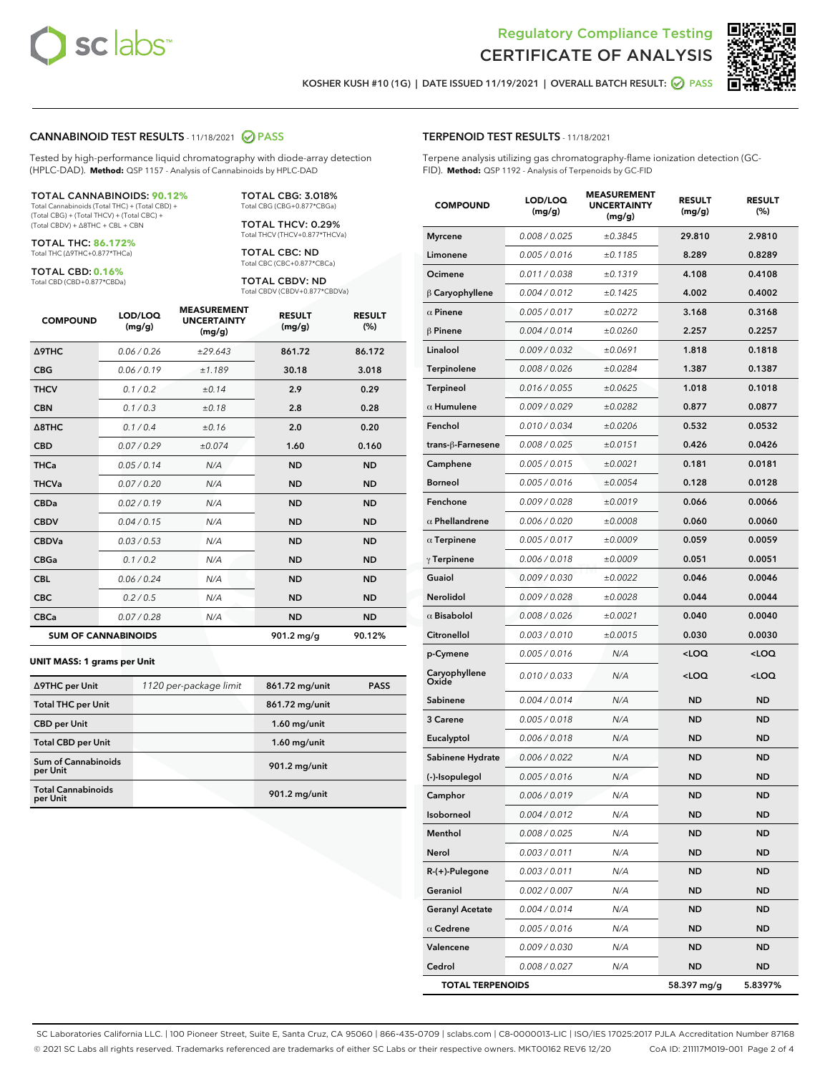



KOSHER KUSH #10 (1G) | DATE ISSUED 11/19/2021 | OVERALL BATCH RESULT: 2 PASS

#### CANNABINOID TEST RESULTS - 11/18/2021 2 PASS

Tested by high-performance liquid chromatography with diode-array detection (HPLC-DAD). **Method:** QSP 1157 - Analysis of Cannabinoids by HPLC-DAD

#### TOTAL CANNABINOIDS: **90.12%**

Total Cannabinoids (Total THC) + (Total CBD) + (Total CBG) + (Total THCV) + (Total CBC) + (Total CBDV) + ∆8THC + CBL + CBN

TOTAL THC: **86.172%** Total THC (∆9THC+0.877\*THCa)

TOTAL CBD: **0.16%**

Total CBD (CBD+0.877\*CBDa)

TOTAL CBG: 3.018% Total CBG (CBG+0.877\*CBGa)

TOTAL THCV: 0.29% Total THCV (THCV+0.877\*THCVa)

TOTAL CBC: ND Total CBC (CBC+0.877\*CBCa)

TOTAL CBDV: ND Total CBDV (CBDV+0.877\*CBDVa)

| <b>COMPOUND</b>            | LOD/LOQ<br>(mg/g) | <b>MEASUREMENT</b><br><b>UNCERTAINTY</b><br>(mg/g) | <b>RESULT</b><br>(mg/g) | <b>RESULT</b><br>(%) |
|----------------------------|-------------------|----------------------------------------------------|-------------------------|----------------------|
| <b>A9THC</b>               | 0.06 / 0.26       | ±29.643                                            | 861.72                  | 86.172               |
| <b>CBG</b>                 | 0.06 / 0.19       | ±1.189                                             | 30.18                   | 3.018                |
| <b>THCV</b>                | 0.1 / 0.2         | ±0.14                                              | 2.9                     | 0.29                 |
| <b>CBN</b>                 | 0.1/0.3           | ±0.18                                              | 2.8                     | 0.28                 |
| $\triangle$ 8THC           | 0.1/0.4           | ±0.16                                              | 2.0                     | 0.20                 |
| <b>CBD</b>                 | 0.07/0.29         | ±0.074                                             | 1.60                    | 0.160                |
| <b>THCa</b>                | 0.05/0.14         | N/A                                                | <b>ND</b>               | <b>ND</b>            |
| <b>THCVa</b>               | 0.07/0.20         | N/A                                                | <b>ND</b>               | <b>ND</b>            |
| <b>CBDa</b>                | 0.02/0.19         | N/A                                                | <b>ND</b>               | <b>ND</b>            |
| <b>CBDV</b>                | 0.04 / 0.15       | N/A                                                | <b>ND</b>               | <b>ND</b>            |
| <b>CBDVa</b>               | 0.03/0.53         | N/A                                                | <b>ND</b>               | <b>ND</b>            |
| <b>CBGa</b>                | 0.1/0.2           | N/A                                                | <b>ND</b>               | <b>ND</b>            |
| <b>CBL</b>                 | 0.06 / 0.24       | N/A                                                | <b>ND</b>               | <b>ND</b>            |
| <b>CBC</b>                 | 0.2 / 0.5         | N/A                                                | <b>ND</b>               | <b>ND</b>            |
| <b>CBCa</b>                | 0.07/0.28         | N/A                                                | <b>ND</b>               | <b>ND</b>            |
| <b>SUM OF CANNABINOIDS</b> |                   |                                                    | 901.2 mg/g              | 90.12%               |

#### **UNIT MASS: 1 grams per Unit**

| ∆9THC per Unit                         | 1120 per-package limit | 861.72 mg/unit | <b>PASS</b> |
|----------------------------------------|------------------------|----------------|-------------|
| <b>Total THC per Unit</b>              |                        | 861.72 mg/unit |             |
| <b>CBD per Unit</b>                    |                        | $1.60$ mg/unit |             |
| <b>Total CBD per Unit</b>              |                        | $1.60$ mg/unit |             |
| <b>Sum of Cannabinoids</b><br>per Unit |                        | 901.2 mg/unit  |             |
| <b>Total Cannabinoids</b><br>per Unit  |                        | 901.2 mg/unit  |             |

#### TERPENOID TEST RESULTS - 11/18/2021

Terpene analysis utilizing gas chromatography-flame ionization detection (GC-FID). **Method:** QSP 1192 - Analysis of Terpenoids by GC-FID

| <b>COMPOUND</b>         | LOD/LOQ<br>(mg/g) | <b>MEASUREMENT</b><br><b>UNCERTAINTY</b><br>(mg/g) | <b>RESULT</b><br>(mg/g)                         | <b>RESULT</b><br>(%) |
|-------------------------|-------------------|----------------------------------------------------|-------------------------------------------------|----------------------|
| <b>Myrcene</b>          | 0.008 / 0.025     | ±0.3845                                            | 29.810                                          | 2.9810               |
| Limonene                | 0.005 / 0.016     | ±0.1185                                            | 8.289                                           | 0.8289               |
| Ocimene                 | 0.011 / 0.038     | ±0.1319                                            | 4.108                                           | 0.4108               |
| $\upbeta$ Caryophyllene | 0.004 / 0.012     | ±0.1425                                            | 4.002                                           | 0.4002               |
| $\alpha$ Pinene         | 0.005 / 0.017     | ±0.0272                                            | 3.168                                           | 0.3168               |
| $\beta$ Pinene          | 0.004 / 0.014     | ±0.0260                                            | 2.257                                           | 0.2257               |
| Linalool                | 0.009 / 0.032     | ±0.0691                                            | 1.818                                           | 0.1818               |
| Terpinolene             | 0.008 / 0.026     | ±0.0284                                            | 1.387                                           | 0.1387               |
| Terpineol               | 0.016 / 0.055     | ±0.0625                                            | 1.018                                           | 0.1018               |
| $\alpha$ Humulene       | 0.009 / 0.029     | ±0.0282                                            | 0.877                                           | 0.0877               |
| Fenchol                 | 0.010 / 0.034     | ±0.0206                                            | 0.532                                           | 0.0532               |
| trans-β-Farnesene       | 0.008 / 0.025     | ±0.0151                                            | 0.426                                           | 0.0426               |
| Camphene                | 0.005 / 0.015     | ±0.0021                                            | 0.181                                           | 0.0181               |
| <b>Borneol</b>          | 0.005 / 0.016     | ±0.0054                                            | 0.128                                           | 0.0128               |
| Fenchone                | 0.009 / 0.028     | ±0.0019                                            | 0.066                                           | 0.0066               |
| $\alpha$ Phellandrene   | 0.006 / 0.020     | ±0.0008                                            | 0.060                                           | 0.0060               |
| $\alpha$ Terpinene      | 0.005 / 0.017     | ±0.0009                                            | 0.059                                           | 0.0059               |
| $\gamma$ Terpinene      | 0.006 / 0.018     | ±0.0009                                            | 0.051                                           | 0.0051               |
| Guaiol                  | 0.009 / 0.030     | ±0.0022                                            | 0.046                                           | 0.0046               |
| Nerolidol               | 0.009 / 0.028     | ±0.0028                                            | 0.044                                           | 0.0044               |
| $\alpha$ Bisabolol      | 0.008 / 0.026     | ±0.0021                                            | 0.040                                           | 0.0040               |
| Citronellol             | 0.003 / 0.010     | ±0.0015                                            | 0.030                                           | 0.0030               |
| p-Cymene                | 0.005 / 0.016     | N/A                                                | <loq< th=""><th><loq< th=""></loq<></th></loq<> | <loq< th=""></loq<>  |
| Caryophyllene<br>Oxide  | 0.010 / 0.033     | N/A                                                | <loq< th=""><th><loq< th=""></loq<></th></loq<> | <loq< th=""></loq<>  |
| Sabinene                | 0.004 / 0.014     | N/A                                                | ND                                              | ND                   |
| 3 Carene                | 0.005 / 0.018     | N/A                                                | <b>ND</b>                                       | <b>ND</b>            |
| Eucalyptol              | 0.006 / 0.018     | N/A                                                | ND                                              | ND                   |
| Sabinene Hydrate        | 0.006 / 0.022     | N/A                                                | ND                                              | ND                   |
| (-)-Isopulegol          | 0.005 / 0.016     | N/A                                                | ND                                              | ND                   |
| Camphor                 | 0.006 / 0.019     | N/A                                                | ND                                              | <b>ND</b>            |
| Isoborneol              | 0.004 / 0.012     | N/A                                                | ND                                              | ND                   |
| Menthol                 | 0.008 / 0.025     | N/A                                                | ND                                              | ND                   |
| Nerol                   | 0.003 / 0.011     | N/A                                                | <b>ND</b>                                       | ND                   |
| R-(+)-Pulegone          | 0.003 / 0.011     | N/A                                                | <b>ND</b>                                       | ND                   |
| Geraniol                | 0.002 / 0.007     | N/A                                                | ND                                              | ND                   |
| <b>Geranyl Acetate</b>  | 0.004 / 0.014     | N/A                                                | ND                                              | ND                   |
| $\alpha$ Cedrene        | 0.005 / 0.016     | N/A                                                | <b>ND</b>                                       | ND                   |
| Valencene               | 0.009 / 0.030     | N/A                                                | ND                                              | ND                   |
| Cedrol                  | 0.008 / 0.027     | N/A                                                | <b>ND</b>                                       | ND                   |
| <b>TOTAL TERPENOIDS</b> |                   |                                                    | 58.397 mg/g                                     | 5.8397%              |

SC Laboratories California LLC. | 100 Pioneer Street, Suite E, Santa Cruz, CA 95060 | 866-435-0709 | sclabs.com | C8-0000013-LIC | ISO/IES 17025:2017 PJLA Accreditation Number 87168 © 2021 SC Labs all rights reserved. Trademarks referenced are trademarks of either SC Labs or their respective owners. MKT00162 REV6 12/20 CoA ID: 211117M019-001 Page 2 of 4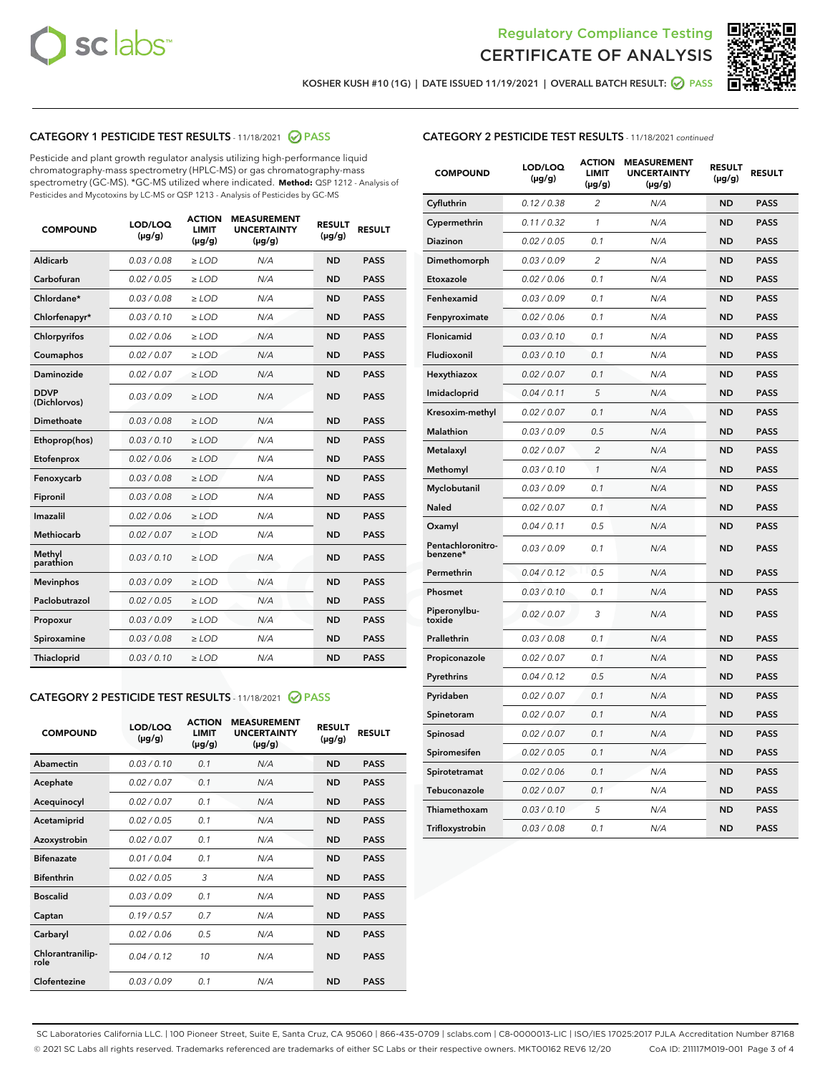



KOSHER KUSH #10 (1G) | DATE ISSUED 11/19/2021 | OVERALL BATCH RESULT: @ PASS

#### CATEGORY 1 PESTICIDE TEST RESULTS - 11/18/2021 @ PASS

Pesticide and plant growth regulator analysis utilizing high-performance liquid chromatography-mass spectrometry (HPLC-MS) or gas chromatography-mass spectrometry (GC-MS). \*GC-MS utilized where indicated. **Method:** QSP 1212 - Analysis of Pesticides and Mycotoxins by LC-MS or QSP 1213 - Analysis of Pesticides by GC-MS

| <b>COMPOUND</b>             | LOD/LOQ<br>$(\mu g/g)$ | <b>ACTION</b><br><b>LIMIT</b><br>$(\mu q/q)$ | <b>MEASUREMENT</b><br><b>UNCERTAINTY</b><br>$(\mu g/g)$ | <b>RESULT</b><br>$(\mu g/g)$ | <b>RESULT</b> |
|-----------------------------|------------------------|----------------------------------------------|---------------------------------------------------------|------------------------------|---------------|
| Aldicarb                    | 0.03 / 0.08            | $\ge$ LOD                                    | N/A                                                     | <b>ND</b>                    | <b>PASS</b>   |
| Carbofuran                  | 0.02 / 0.05            | $\ge$ LOD                                    | N/A                                                     | <b>ND</b>                    | <b>PASS</b>   |
| Chlordane*                  | 0.03 / 0.08            | $\ge$ LOD                                    | N/A                                                     | <b>ND</b>                    | <b>PASS</b>   |
| Chlorfenapyr*               | 0.03/0.10              | $\ge$ LOD                                    | N/A                                                     | <b>ND</b>                    | <b>PASS</b>   |
| Chlorpyrifos                | 0.02 / 0.06            | $\ge$ LOD                                    | N/A                                                     | <b>ND</b>                    | <b>PASS</b>   |
| Coumaphos                   | 0.02 / 0.07            | $\ge$ LOD                                    | N/A                                                     | <b>ND</b>                    | <b>PASS</b>   |
| Daminozide                  | 0.02 / 0.07            | $\ge$ LOD                                    | N/A                                                     | <b>ND</b>                    | <b>PASS</b>   |
| <b>DDVP</b><br>(Dichlorvos) | 0.03/0.09              | $\ge$ LOD                                    | N/A                                                     | <b>ND</b>                    | <b>PASS</b>   |
| Dimethoate                  | 0.03 / 0.08            | $\ge$ LOD                                    | N/A                                                     | <b>ND</b>                    | <b>PASS</b>   |
| Ethoprop(hos)               | 0.03/0.10              | $\ge$ LOD                                    | N/A                                                     | <b>ND</b>                    | <b>PASS</b>   |
| Etofenprox                  | 0.02/0.06              | $>$ LOD                                      | N/A                                                     | <b>ND</b>                    | <b>PASS</b>   |
| Fenoxycarb                  | 0.03 / 0.08            | $\ge$ LOD                                    | N/A                                                     | <b>ND</b>                    | <b>PASS</b>   |
| Fipronil                    | 0.03/0.08              | $>$ LOD                                      | N/A                                                     | <b>ND</b>                    | <b>PASS</b>   |
| Imazalil                    | 0.02 / 0.06            | $\ge$ LOD                                    | N/A                                                     | <b>ND</b>                    | <b>PASS</b>   |
| Methiocarb                  | 0.02 / 0.07            | $\ge$ LOD                                    | N/A                                                     | <b>ND</b>                    | <b>PASS</b>   |
| Methyl<br>parathion         | 0.03/0.10              | $>$ LOD                                      | N/A                                                     | <b>ND</b>                    | <b>PASS</b>   |
| <b>Mevinphos</b>            | 0.03/0.09              | $>$ LOD                                      | N/A                                                     | <b>ND</b>                    | <b>PASS</b>   |
| Paclobutrazol               | 0.02 / 0.05            | $>$ LOD                                      | N/A                                                     | <b>ND</b>                    | <b>PASS</b>   |
| Propoxur                    | 0.03/0.09              | $\ge$ LOD                                    | N/A                                                     | <b>ND</b>                    | <b>PASS</b>   |
| Spiroxamine                 | 0.03 / 0.08            | $\ge$ LOD                                    | N/A                                                     | <b>ND</b>                    | <b>PASS</b>   |
| Thiacloprid                 | 0.03/0.10              | $\ge$ LOD                                    | N/A                                                     | <b>ND</b>                    | <b>PASS</b>   |

#### CATEGORY 2 PESTICIDE TEST RESULTS - 11/18/2021 @ PASS

| <b>COMPOUND</b>          | LOD/LOO<br>$(\mu g/g)$ | <b>ACTION</b><br>LIMIT<br>$(\mu g/g)$ | <b>MEASUREMENT</b><br><b>UNCERTAINTY</b><br>$(\mu g/g)$ | <b>RESULT</b><br>$(\mu g/g)$ | <b>RESULT</b> |  |
|--------------------------|------------------------|---------------------------------------|---------------------------------------------------------|------------------------------|---------------|--|
| Abamectin                | 0.03/0.10              | 0.1                                   | N/A                                                     | <b>ND</b>                    | <b>PASS</b>   |  |
| Acephate                 | 0.02/0.07              | 0.1                                   | N/A                                                     | <b>ND</b>                    | <b>PASS</b>   |  |
| Acequinocyl              | 0.02/0.07              | 0.1                                   | N/A                                                     | <b>ND</b>                    | <b>PASS</b>   |  |
| Acetamiprid              | 0.02 / 0.05            | 0.1                                   | N/A                                                     | <b>ND</b>                    | <b>PASS</b>   |  |
| Azoxystrobin             | 0.02/0.07              | 0.1                                   | N/A                                                     | <b>ND</b>                    | <b>PASS</b>   |  |
| <b>Bifenazate</b>        | 0.01 / 0.04            | 0.1                                   | N/A                                                     | <b>ND</b>                    | <b>PASS</b>   |  |
| <b>Bifenthrin</b>        | 0.02 / 0.05            | 3                                     | N/A                                                     | <b>ND</b>                    | <b>PASS</b>   |  |
| <b>Boscalid</b>          | 0.03/0.09              | 0.1                                   | N/A                                                     | <b>ND</b>                    | <b>PASS</b>   |  |
| Captan                   | 0.19/0.57              | 0.7                                   | N/A                                                     | <b>ND</b>                    | <b>PASS</b>   |  |
| Carbaryl                 | 0.02/0.06              | 0.5                                   | N/A                                                     | <b>ND</b>                    | <b>PASS</b>   |  |
| Chlorantranilip-<br>role | 0.04/0.12              | 10                                    | N/A                                                     | <b>ND</b>                    | <b>PASS</b>   |  |
| Clofentezine             | 0.03/0.09              | 0.1                                   | N/A                                                     | <b>ND</b>                    | <b>PASS</b>   |  |

#### CATEGORY 2 PESTICIDE TEST RESULTS - 11/18/2021 continued

| <b>COMPOUND</b>               | LOD/LOQ<br>(µg/g) | <b>ACTION</b><br><b>LIMIT</b><br>$(\mu g/g)$ | <b>MEASUREMENT</b><br><b>UNCERTAINTY</b><br>$(\mu g/g)$ | <b>RESULT</b><br>(µg/g) | <b>RESULT</b> |
|-------------------------------|-------------------|----------------------------------------------|---------------------------------------------------------|-------------------------|---------------|
| Cyfluthrin                    | 0.12 / 0.38       | $\overline{c}$                               | N/A                                                     | ND                      | <b>PASS</b>   |
| Cypermethrin                  | 0.11 / 0.32       | $\mathcal{I}$                                | N/A                                                     | ND                      | <b>PASS</b>   |
| <b>Diazinon</b>               | 0.02 / 0.05       | 0.1                                          | N/A                                                     | <b>ND</b>               | <b>PASS</b>   |
| Dimethomorph                  | 0.03 / 0.09       | 2                                            | N/A                                                     | ND                      | <b>PASS</b>   |
| Etoxazole                     | 0.02 / 0.06       | 0.1                                          | N/A                                                     | ND                      | <b>PASS</b>   |
| Fenhexamid                    | 0.03 / 0.09       | 0.1                                          | N/A                                                     | ND                      | <b>PASS</b>   |
| Fenpyroximate                 | 0.02 / 0.06       | 0.1                                          | N/A                                                     | <b>ND</b>               | <b>PASS</b>   |
| Flonicamid                    | 0.03 / 0.10       | 0.1                                          | N/A                                                     | ND                      | <b>PASS</b>   |
| Fludioxonil                   | 0.03 / 0.10       | 0.1                                          | N/A                                                     | ND                      | <b>PASS</b>   |
| Hexythiazox                   | 0.02 / 0.07       | 0.1                                          | N/A                                                     | ND                      | <b>PASS</b>   |
| Imidacloprid                  | 0.04 / 0.11       | 5                                            | N/A                                                     | ND                      | <b>PASS</b>   |
| Kresoxim-methyl               | 0.02 / 0.07       | 0.1                                          | N/A                                                     | ND                      | <b>PASS</b>   |
| Malathion                     | 0.03 / 0.09       | 0.5                                          | N/A                                                     | <b>ND</b>               | <b>PASS</b>   |
| Metalaxyl                     | 0.02 / 0.07       | $\overline{c}$                               | N/A                                                     | ND                      | <b>PASS</b>   |
| Methomyl                      | 0.03 / 0.10       | 1                                            | N/A                                                     | ND                      | <b>PASS</b>   |
| Myclobutanil                  | 0.03 / 0.09       | 0.1                                          | N/A                                                     | <b>ND</b>               | <b>PASS</b>   |
| Naled                         | 0.02 / 0.07       | 0.1                                          | N/A                                                     | ND                      | <b>PASS</b>   |
| Oxamyl                        | 0.04 / 0.11       | 0.5                                          | N/A                                                     | ND                      | <b>PASS</b>   |
| Pentachloronitro-<br>benzene* | 0.03 / 0.09       | 0.1                                          | N/A                                                     | ND                      | <b>PASS</b>   |
| Permethrin                    | 0.04 / 0.12       | 0.5                                          | N/A                                                     | ND                      | <b>PASS</b>   |
| Phosmet                       | 0.03 / 0.10       | 0.1                                          | N/A                                                     | ND                      | <b>PASS</b>   |
| Piperonylbu-<br>toxide        | 0.02 / 0.07       | 3                                            | N/A                                                     | ND                      | <b>PASS</b>   |
| Prallethrin                   | 0.03 / 0.08       | 0.1                                          | N/A                                                     | ND                      | <b>PASS</b>   |
| Propiconazole                 | 0.02 / 0.07       | 0.1                                          | N/A                                                     | ND                      | <b>PASS</b>   |
| Pyrethrins                    | 0.04 / 0.12       | 0.5                                          | N/A                                                     | ND                      | <b>PASS</b>   |
| Pyridaben                     | 0.02 / 0.07       | 0.1                                          | N/A                                                     | <b>ND</b>               | <b>PASS</b>   |
| Spinetoram                    | 0.02 / 0.07       | 0.1                                          | N/A                                                     | ND                      | <b>PASS</b>   |
| Spinosad                      | 0.02 / 0.07       | 0.1                                          | N/A                                                     | ND                      | <b>PASS</b>   |
| Spiromesifen                  | 0.02 / 0.05       | 0.1                                          | N/A                                                     | <b>ND</b>               | <b>PASS</b>   |
| Spirotetramat                 | 0.02 / 0.06       | 0.1                                          | N/A                                                     | ND                      | <b>PASS</b>   |
| Tebuconazole                  | 0.02 / 0.07       | 0.1                                          | N/A                                                     | ND                      | <b>PASS</b>   |
| Thiamethoxam                  | 0.03 / 0.10       | 5                                            | N/A                                                     | <b>ND</b>               | <b>PASS</b>   |
| Trifloxystrobin               | 0.03 / 0.08       | 0.1                                          | N/A                                                     | <b>ND</b>               | <b>PASS</b>   |

SC Laboratories California LLC. | 100 Pioneer Street, Suite E, Santa Cruz, CA 95060 | 866-435-0709 | sclabs.com | C8-0000013-LIC | ISO/IES 17025:2017 PJLA Accreditation Number 87168 © 2021 SC Labs all rights reserved. Trademarks referenced are trademarks of either SC Labs or their respective owners. MKT00162 REV6 12/20 CoA ID: 211117M019-001 Page 3 of 4